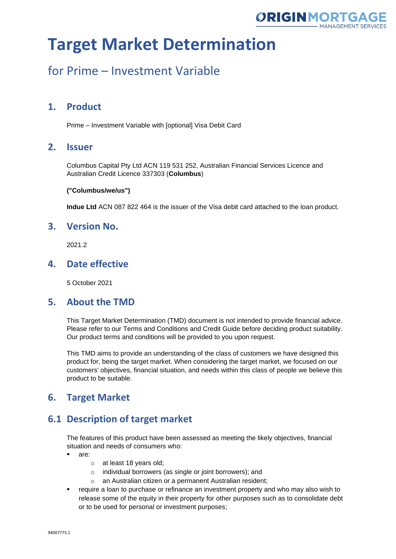

# for Prime – Investment Variable

## **1. Product**

Prime – Investment Variable with [optional] Visa Debit Card

### **2. Issuer**

Columbus Capital Pty Ltd ACN 119 531 252, Australian Financial Services Licence and Australian Credit Licence 337303 (**Columbus**)

#### **("Columbus/we/us")**

**Indue Ltd** ACN 087 822 464 is the issuer of the Visa debit card attached to the loan product.

### **3. Version No.**

2021.2

### **4. Date effective**

5 October 2021

#### **5. About the TMD**

This Target Market Determination (TMD) document is not intended to provide financial advice. Please refer to our Terms and Conditions and Credit Guide before deciding product suitability. Our product terms and conditions will be provided to you upon request.

This TMD aims to provide an understanding of the class of customers we have designed this product for, being the target market. When considering the target market, we focused on our customers' objectives, financial situation, and needs within this class of people we believe this product to be suitable.

## **6. Target Market**

## **6.1 Description of target market**

The features of this product have been assessed as meeting the likely objectives, financial situation and needs of consumers who:

- are:
	- o at least 18 years old;
	- o individual borrowers (as single or joint borrowers); and
	- o an Australian citizen or a permanent Australian resident;
- **•** require a loan to purchase or refinance an investment property and who may also wish to release some of the equity in their property for other purposes such as to consolidate debt or to be used for personal or investment purposes;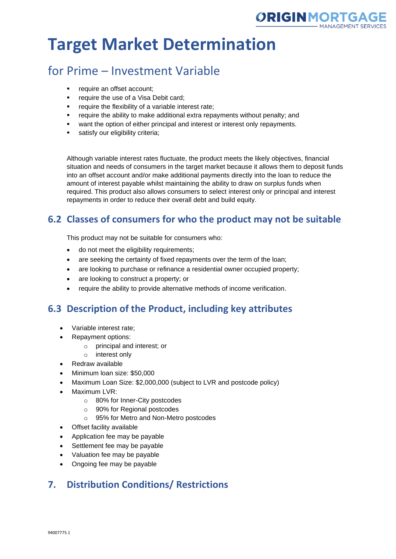

# for Prime – Investment Variable

- require an offset account:
- **•** require the use of a Visa Debit card;
- require the flexibility of a variable interest rate;
- require the ability to make additional extra repayments without penalty; and
- want the option of either principal and interest or interest only repayments.
- satisfy our eligibility criteria;

Although variable interest rates fluctuate, the product meets the likely objectives, financial situation and needs of consumers in the target market because it allows them to deposit funds into an offset account and/or make additional payments directly into the loan to reduce the amount of interest payable whilst maintaining the ability to draw on surplus funds when required. This product also allows consumers to select interest only or principal and interest repayments in order to reduce their overall debt and build equity.

## **6.2 Classes of consumers for who the product may not be suitable**

This product may not be suitable for consumers who:

- do not meet the eligibility requirements;
- are seeking the certainty of fixed repayments over the term of the loan;
- are looking to purchase or refinance a residential owner occupied property;
- are looking to construct a property; or
- require the ability to provide alternative methods of income verification.

## **6.3 Description of the Product, including key attributes**

- Variable interest rate;
- Repayment options:
	- o principal and interest; or
	- o interest only
- Redraw available
- Minimum loan size: \$50,000
- Maximum Loan Size: \$2,000,000 (subject to LVR and postcode policy)
- Maximum LVR:
	- o 80% for Inner-City postcodes
	- o 90% for Regional postcodes
	- o 95% for Metro and Non-Metro postcodes
- Offset facility available
- Application fee may be payable
- Settlement fee may be payable
- Valuation fee may be payable
- Ongoing fee may be payable

## **7. Distribution Conditions/ Restrictions**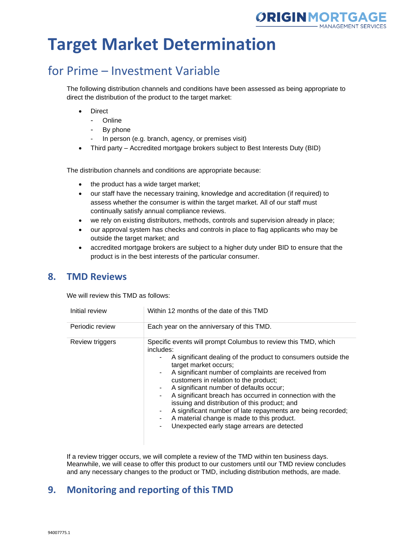

# for Prime – Investment Variable

The following distribution channels and conditions have been assessed as being appropriate to direct the distribution of the product to the target market:

- **Direct** 
	- Online
	- By phone
	- In person (e.g. branch, agency, or premises visit)
- Third party Accredited mortgage brokers subject to Best Interests Duty (BID)

The distribution channels and conditions are appropriate because:

- the product has a wide target market;
- our staff have the necessary training, knowledge and accreditation (if required) to assess whether the consumer is within the target market. All of our staff must continually satisfy annual compliance reviews.
- we rely on existing distributors, methods, controls and supervision already in place;
- our approval system has checks and controls in place to flag applicants who may be outside the target market; and
- accredited mortgage brokers are subject to a higher duty under BID to ensure that the product is in the best interests of the particular consumer.

#### **8. TMD Reviews**

We will review this TMD as follows:

| Initial review  | Within 12 months of the date of this TMD                                                                                                                                                                                                                                                                                                                                                                                                                                                                                                                                                                   |  |
|-----------------|------------------------------------------------------------------------------------------------------------------------------------------------------------------------------------------------------------------------------------------------------------------------------------------------------------------------------------------------------------------------------------------------------------------------------------------------------------------------------------------------------------------------------------------------------------------------------------------------------------|--|
| Periodic review | Each year on the anniversary of this TMD.                                                                                                                                                                                                                                                                                                                                                                                                                                                                                                                                                                  |  |
| Review triggers | Specific events will prompt Columbus to review this TMD, which<br>includes:<br>A significant dealing of the product to consumers outside the<br>target market occurs;<br>A significant number of complaints are received from<br>customers in relation to the product;<br>A significant number of defaults occur;<br>A significant breach has occurred in connection with the<br>$\sim$<br>issuing and distribution of this product; and<br>A significant number of late repayments are being recorded;<br>A material change is made to this product.<br>Unexpected early stage arrears are detected<br>٠. |  |

If a review trigger occurs, we will complete a review of the TMD within ten business days. Meanwhile, we will cease to offer this product to our customers until our TMD review concludes and any necessary changes to the product or TMD, including distribution methods, are made.

### **9. Monitoring and reporting of this TMD**